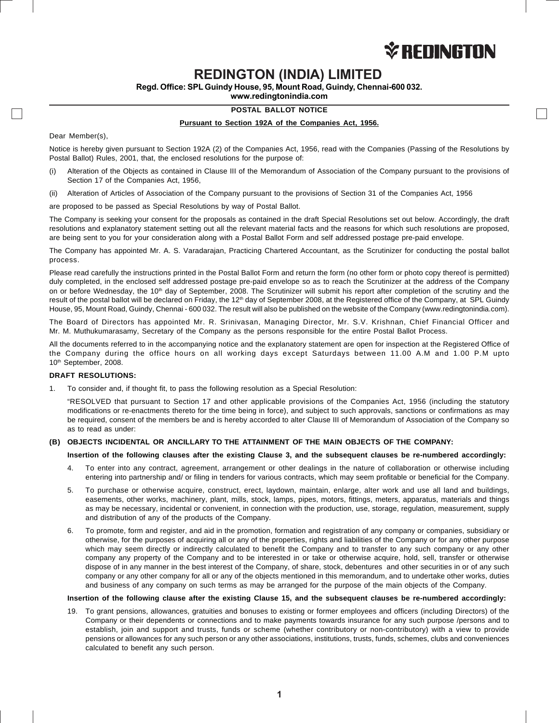

# **REDINGTON (INDIA) LIMITED**

**Regd. Office: SPL Guindy House, 95, Mount Road, Guindy, Chennai-600 032.**

**www.redingtonindia.com**

# **POSTAL BALLOT NOTICE**

#### **Pursuant to Section 192A of the Companies Act, 1956.**

Dear Member(s),

Notice is hereby given pursuant to Section 192A (2) of the Companies Act, 1956, read with the Companies (Passing of the Resolutions by Postal Ballot) Rules, 2001, that, the enclosed resolutions for the purpose of:

- (i) Alteration of the Objects as contained in Clause III of the Memorandum of Association of the Company pursuant to the provisions of Section 17 of the Companies Act, 1956,
- (ii) Alteration of Articles of Association of the Company pursuant to the provisions of Section 31 of the Companies Act, 1956

are proposed to be passed as Special Resolutions by way of Postal Ballot.

The Company is seeking your consent for the proposals as contained in the draft Special Resolutions set out below. Accordingly, the draft resolutions and explanatory statement setting out all the relevant material facts and the reasons for which such resolutions are proposed, are being sent to you for your consideration along with a Postal Ballot Form and self addressed postage pre-paid envelope.

The Company has appointed Mr. A. S. Varadarajan, Practicing Chartered Accountant, as the Scrutinizer for conducting the postal ballot process.

Please read carefully the instructions printed in the Postal Ballot Form and return the form (no other form or photo copy thereof is permitted) duly completed, in the enclosed self addressed postage pre-paid envelope so as to reach the Scrutinizer at the address of the Company on or before Wednesday, the 10<sup>th</sup> day of September, 2008. The Scrutinizer will submit his report after completion of the scrutiny and the result of the postal ballot will be declared on Friday, the 12<sup>th</sup> day of September 2008, at the Registered office of the Company, at SPL Guindy House, 95, Mount Road, Guindy, Chennai - 600 032. The result will also be published on the website of the Company (www.redingtonindia.com).

The Board of Directors has appointed Mr. R. Srinivasan, Managing Director, Mr. S.V. Krishnan, Chief Financial Officer and Mr. M. Muthukumarasamy, Secretary of the Company as the persons responsible for the entire Postal Ballot Process.

All the documents referred to in the accompanying notice and the explanatory statement are open for inspection at the Registered Office of the Company during the office hours on all working days except Saturdays between 11.00 A.M and 1.00 P.M upto 10<sup>th</sup> September, 2008.

#### **DRAFT RESOLUTIONS:**

1. To consider and, if thought fit, to pass the following resolution as a Special Resolution:

"RESOLVED that pursuant to Section 17 and other applicable provisions of the Companies Act, 1956 (including the statutory modifications or re-enactments thereto for the time being in force), and subject to such approvals, sanctions or confirmations as may be required, consent of the members be and is hereby accorded to alter Clause III of Memorandum of Association of the Company so as to read as under:

## **(B) OBJECTS INCIDENTAL OR ANCILLARY TO THE ATTAINMENT OF THE MAIN OBJECTS OF THE COMPANY:**

#### **Insertion of the following clauses after the existing Clause 3, and the subsequent clauses be re-numbered accordingly:**

- 4. To enter into any contract, agreement, arrangement or other dealings in the nature of collaboration or otherwise including entering into partnership and/ or filing in tenders for various contracts, which may seem profitable or beneficial for the Company.
- 5. To purchase or otherwise acquire, construct, erect, laydown, maintain, enlarge, alter work and use all land and buildings, easements, other works, machinery, plant, mills, stock, lamps, pipes, motors, fittings, meters, apparatus, materials and things as may be necessary, incidental or convenient, in connection with the production, use, storage, regulation, measurement, supply and distribution of any of the products of the Company.
- 6. To promote, form and register, and aid in the promotion, formation and registration of any company or companies, subsidiary or otherwise, for the purposes of acquiring all or any of the properties, rights and liabilities of the Company or for any other purpose which may seem directly or indirectly calculated to benefit the Company and to transfer to any such company or any other company any property of the Company and to be interested in or take or otherwise acquire, hold, sell, transfer or otherwise dispose of in any manner in the best interest of the Company, of share, stock, debentures and other securities in or of any such company or any other company for all or any of the objects mentioned in this memorandum, and to undertake other works, duties and business of any company on such terms as may be arranged for the purpose of the main objects of the Company.

#### **Insertion of the following clause after the existing Clause 15, and the subsequent clauses be re-numbered accordingly:**

19. To grant pensions, allowances, gratuities and bonuses to existing or former employees and officers (including Directors) of the Company or their dependents or connections and to make payments towards insurance for any such purpose /persons and to establish, join and support and trusts, funds or scheme (whether contributory or non-contributory) with a view to provide pensions or allowances for any such person or any other associations, institutions, trusts, funds, schemes, clubs and conveniences calculated to benefit any such person.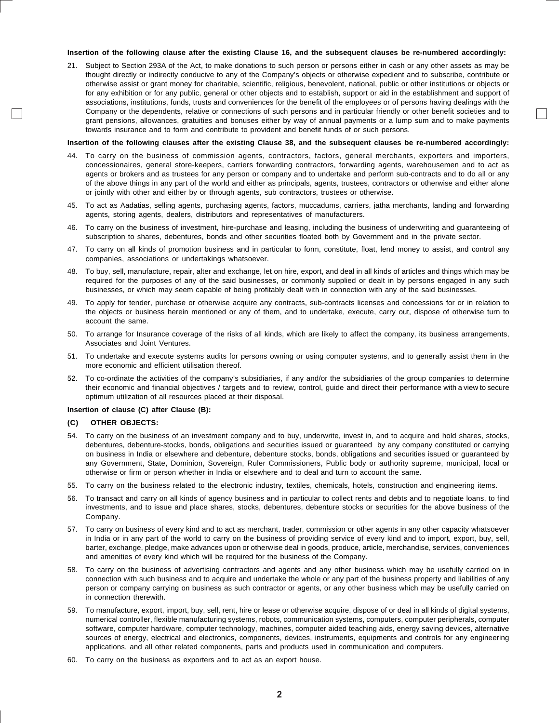#### **Insertion of the following clause after the existing Clause 16, and the subsequent clauses be re-numbered accordingly:**

21. Subject to Section 293A of the Act, to make donations to such person or persons either in cash or any other assets as may be thought directly or indirectly conducive to any of the Company's objects or otherwise expedient and to subscribe, contribute or otherwise assist or grant money for charitable, scientific, religious, benevolent, national, public or other institutions or objects or for any exhibition or for any public, general or other objects and to establish, support or aid in the establishment and support of associations, institutions, funds, trusts and conveniences for the benefit of the employees or of persons having dealings with the Company or the dependents, relative or connections of such persons and in particular friendly or other benefit societies and to grant pensions, allowances, gratuities and bonuses either by way of annual payments or a lump sum and to make payments towards insurance and to form and contribute to provident and benefit funds of or such persons.

#### **Insertion of the following clauses after the existing Clause 38, and the subsequent clauses be re-numbered accordingly:**

- 44. To carry on the business of commission agents, contractors, factors, general merchants, exporters and importers, concessionaires, general store-keepers, carriers forwarding contractors, forwarding agents, warehousemen and to act as agents or brokers and as trustees for any person or company and to undertake and perform sub-contracts and to do all or any of the above things in any part of the world and either as principals, agents, trustees, contractors or otherwise and either alone or jointly with other and either by or through agents, sub contractors, trustees or otherwise.
- 45. To act as Aadatias, selling agents, purchasing agents, factors, muccadums, carriers, jatha merchants, landing and forwarding agents, storing agents, dealers, distributors and representatives of manufacturers.
- 46. To carry on the business of investment, hire-purchase and leasing, including the business of underwriting and guaranteeing of subscription to shares, debentures, bonds and other securities floated both by Government and in the private sector.
- 47. To carry on all kinds of promotion business and in particular to form, constitute, float, lend money to assist, and control any companies, associations or undertakings whatsoever.
- 48. To buy, sell, manufacture, repair, alter and exchange, let on hire, export, and deal in all kinds of articles and things which may be required for the purposes of any of the said businesses, or commonly supplied or dealt in by persons engaged in any such businesses, or which may seem capable of being profitably dealt with in connection with any of the said businesses.
- 49. To apply for tender, purchase or otherwise acquire any contracts, sub-contracts licenses and concessions for or in relation to the objects or business herein mentioned or any of them, and to undertake, execute, carry out, dispose of otherwise turn to account the same.
- 50. To arrange for Insurance coverage of the risks of all kinds, which are likely to affect the company, its business arrangements, Associates and Joint Ventures.
- 51. To undertake and execute systems audits for persons owning or using computer systems, and to generally assist them in the more economic and efficient utilisation thereof.
- 52. To co-ordinate the activities of the company's subsidiaries, if any and/or the subsidiaries of the group companies to determine their economic and financial objectives / targets and to review, control, guide and direct their performance with a view to secure optimum utilization of all resources placed at their disposal.

### **Insertion of clause (C) after Clause (B):**

# **(C) OTHER OBJECTS:**

- 54. To carry on the business of an investment company and to buy, underwrite, invest in, and to acquire and hold shares, stocks, debentures, debenture-stocks, bonds, obligations and securities issued or guaranteed by any company constituted or carrying on business in India or elsewhere and debenture, debenture stocks, bonds, obligations and securities issued or guaranteed by any Government, State, Dominion, Sovereign, Ruler Commissioners, Public body or authority supreme, municipal, local or otherwise or firm or person whether in India or elsewhere and to deal and turn to account the same.
- 55. To carry on the business related to the electronic industry, textiles, chemicals, hotels, construction and engineering items.
- 56. To transact and carry on all kinds of agency business and in particular to collect rents and debts and to negotiate loans, to find investments, and to issue and place shares, stocks, debentures, debenture stocks or securities for the above business of the Company.
- 57. To carry on business of every kind and to act as merchant, trader, commission or other agents in any other capacity whatsoever in India or in any part of the world to carry on the business of providing service of every kind and to import, export, buy, sell, barter, exchange, pledge, make advances upon or otherwise deal in goods, produce, article, merchandise, services, conveniences and amenities of every kind which will be required for the business of the Company.
- 58. To carry on the business of advertising contractors and agents and any other business which may be usefully carried on in connection with such business and to acquire and undertake the whole or any part of the business property and liabilities of any person or company carrying on business as such contractor or agents, or any other business which may be usefully carried on in connection therewith.
- 59. To manufacture, export, import, buy, sell, rent, hire or lease or otherwise acquire, dispose of or deal in all kinds of digital systems, numerical controller, flexible manufacturing systems, robots, communication systems, computers, computer peripherals, computer software, computer hardware, computer technology, machines, computer aided teaching aids, energy saving devices, alternative sources of energy, electrical and electronics, components, devices, instruments, equipments and controls for any engineering applications, and all other related components, parts and products used in communication and computers.
- 60. To carry on the business as exporters and to act as an export house.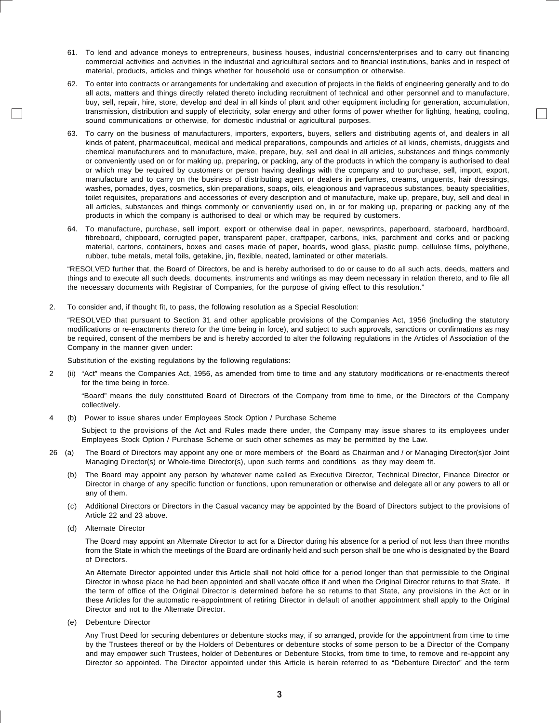- 61. To lend and advance moneys to entrepreneurs, business houses, industrial concerns/enterprises and to carry out financing commercial activities and activities in the industrial and agricultural sectors and to financial institutions, banks and in respect of material, products, articles and things whether for household use or consumption or otherwise.
- 62. To enter into contracts or arrangements for undertaking and execution of projects in the fields of engineering generally and to do all acts, matters and things directly related thereto including recruitment of technical and other personnel and to manufacture, buy, sell, repair, hire, store, develop and deal in all kinds of plant and other equipment including for generation, accumulation, transmission, distribution and supply of electricity, solar energy and other forms of power whether for lighting, heating, cooling, sound communications or otherwise, for domestic industrial or agricultural purposes.
- 63. To carry on the business of manufacturers, importers, exporters, buyers, sellers and distributing agents of, and dealers in all kinds of patent, pharmaceutical, medical and medical preparations, compounds and articles of all kinds, chemists, druggists and chemical manufacturers and to manufacture, make, prepare, buy, sell and deal in all articles, substances and things commonly or conveniently used on or for making up, preparing, or packing, any of the products in which the company is authorised to deal or which may be required by customers or person having dealings with the company and to purchase, sell, import, export, manufacture and to carry on the business of distributing agent or dealers in perfumes, creams, unguents, hair dressings, washes, pomades, dyes, cosmetics, skin preparations, soaps, oils, eleagionous and vapraceous substances, beauty specialities, toilet requisites, preparations and accessories of every description and of manufacture, make up, prepare, buy, sell and deal in all articles, substances and things commonly or conveniently used on, in or for making up, preparing or packing any of the products in which the company is authorised to deal or which may be required by customers.
- 64. To manufacture, purchase, sell import, export or otherwise deal in paper, newsprints, paperboard, starboard, hardboard, fibreboard, chipboard, corrugted paper, transparent paper, craftpaper, carbons, inks, parchment and corks and or packing material, cartons, containers, boxes and cases made of paper, boards, wood glass, plastic pump, cellulose films, polythene, rubber, tube metals, metal foils, getakine, jin, flexible, neated, laminated or other materials.

"RESOLVED further that, the Board of Directors, be and is hereby authorised to do or cause to do all such acts, deeds, matters and things and to execute all such deeds, documents, instruments and writings as may deem necessary in relation thereto, and to file all the necessary documents with Registrar of Companies, for the purpose of giving effect to this resolution."

2. To consider and, if thought fit, to pass, the following resolution as a Special Resolution:

"RESOLVED that pursuant to Section 31 and other applicable provisions of the Companies Act, 1956 (including the statutory modifications or re-enactments thereto for the time being in force), and subject to such approvals, sanctions or confirmations as may be required, consent of the members be and is hereby accorded to alter the following regulations in the Articles of Association of the Company in the manner given under:

Substitution of the existing regulations by the following regulations:

2 (ii) "Act" means the Companies Act, 1956, as amended from time to time and any statutory modifications or re-enactments thereof for the time being in force.

"Board" means the duly constituted Board of Directors of the Company from time to time, or the Directors of the Company collectively.

4 (b) Power to issue shares under Employees Stock Option / Purchase Scheme

Subject to the provisions of the Act and Rules made there under, the Company may issue shares to its employees under Employees Stock Option / Purchase Scheme or such other schemes as may be permitted by the Law.

- 26 (a) The Board of Directors may appoint any one or more members of the Board as Chairman and / or Managing Director(s)or Joint Managing Director(s) or Whole-time Director(s), upon such terms and conditions as they may deem fit.
	- (b) The Board may appoint any person by whatever name called as Executive Director, Technical Director, Finance Director or Director in charge of any specific function or functions, upon remuneration or otherwise and delegate all or any powers to all or any of them.
	- (c) Additional Directors or Directors in the Casual vacancy may be appointed by the Board of Directors subject to the provisions of Article 22 and 23 above.
	- (d) Alternate Director

The Board may appoint an Alternate Director to act for a Director during his absence for a period of not less than three months from the State in which the meetings of the Board are ordinarily held and such person shall be one who is designated by the Board of Directors.

An Alternate Director appointed under this Article shall not hold office for a period longer than that permissible to the Original Director in whose place he had been appointed and shall vacate office if and when the Original Director returns to that State. If the term of office of the Original Director is determined before he so returns to that State, any provisions in the Act or in these Articles for the automatic re-appointment of retiring Director in default of another appointment shall apply to the Original Director and not to the Alternate Director.

(e) Debenture Director

Any Trust Deed for securing debentures or debenture stocks may, if so arranged, provide for the appointment from time to time by the Trustees thereof or by the Holders of Debentures or debenture stocks of some person to be a Director of the Company and may empower such Trustees, holder of Debentures or Debenture Stocks, from time to time, to remove and re-appoint any Director so appointed. The Director appointed under this Article is herein referred to as "Debenture Director" and the term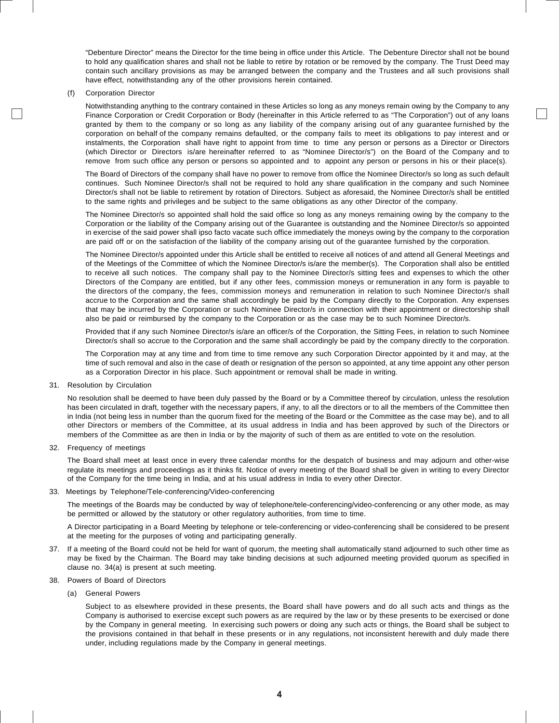"Debenture Director" means the Director for the time being in office under this Article. The Debenture Director shall not be bound to hold any qualification shares and shall not be liable to retire by rotation or be removed by the company. The Trust Deed may contain such ancillary provisions as may be arranged between the company and the Trustees and all such provisions shall have effect, notwithstanding any of the other provisions herein contained.

(f) Corporation Director

Notwithstanding anything to the contrary contained in these Articles so long as any moneys remain owing by the Company to any Finance Corporation or Credit Corporation or Body (hereinafter in this Article referred to as "The Corporation") out of any loans granted by them to the company or so long as any liability of the company arising out of any guarantee furnished by the corporation on behalf of the company remains defaulted, or the company fails to meet its obligations to pay interest and or instalments, the Corporation shall have right to appoint from time to time any person or persons as a Director or Directors (which Director or Directors is/are hereinafter referred to as "Nominee Director/s") on the Board of the Company and to remove from such office any person or persons so appointed and to appoint any person or persons in his or their place(s).

The Board of Directors of the company shall have no power to remove from office the Nominee Director/s so long as such default continues. Such Nominee Director/s shall not be required to hold any share qualification in the company and such Nominee Director/s shall not be liable to retirement by rotation of Directors. Subject as aforesaid, the Nominee Director/s shall be entitled to the same rights and privileges and be subject to the same obligations as any other Director of the company.

The Nominee Director/s so appointed shall hold the said office so long as any moneys remaining owing by the company to the Corporation or the liability of the Company arising out of the Guarantee is outstanding and the Nominee Director/s so appointed in exercise of the said power shall ipso facto vacate such office immediately the moneys owing by the company to the corporation are paid off or on the satisfaction of the liability of the company arising out of the guarantee furnished by the corporation.

The Nominee Director/s appointed under this Article shall be entitled to receive all notices of and attend all General Meetings and of the Meetings of the Committee of which the Nominee Director/s is/are the member(s). The Corporation shall also be entitled to receive all such notices. The company shall pay to the Nominee Director/s sitting fees and expenses to which the other Directors of the Company are entitled, but if any other fees, commission moneys or remuneration in any form is payable to the directors of the company, the fees, commission moneys and remuneration in relation to such Nominee Director/s shall accrue to the Corporation and the same shall accordingly be paid by the Company directly to the Corporation. Any expenses that may be incurred by the Corporation or such Nominee Director/s in connection with their appointment or directorship shall also be paid or reimbursed by the company to the Corporation or as the case may be to such Nominee Director/s.

Provided that if any such Nominee Director/s is/are an officer/s of the Corporation, the Sitting Fees, in relation to such Nominee Director/s shall so accrue to the Corporation and the same shall accordingly be paid by the company directly to the corporation.

The Corporation may at any time and from time to time remove any such Corporation Director appointed by it and may, at the time of such removal and also in the case of death or resignation of the person so appointed, at any time appoint any other person as a Corporation Director in his place. Such appointment or removal shall be made in writing.

31. Resolution by Circulation

No resolution shall be deemed to have been duly passed by the Board or by a Committee thereof by circulation, unless the resolution has been circulated in draft, together with the necessary papers, if any, to all the directors or to all the members of the Committee then in India (not being less in number than the quorum fixed for the meeting of the Board or the Committee as the case may be), and to all other Directors or members of the Committee, at its usual address in India and has been approved by such of the Directors or members of the Committee as are then in India or by the majority of such of them as are entitled to vote on the resolution.

32. Frequency of meetings

The Board shall meet at least once in every three calendar months for the despatch of business and may adjourn and other-wise regulate its meetings and proceedings as it thinks fit. Notice of every meeting of the Board shall be given in writing to every Director of the Company for the time being in India, and at his usual address in India to every other Director.

33. Meetings by Telephone/Tele-conferencing/Video-conferencing

The meetings of the Boards may be conducted by way of telephone/tele-conferencing/video-conferencing or any other mode, as may be permitted or allowed by the statutory or other regulatory authorities, from time to time.

A Director participating in a Board Meeting by telephone or tele-conferencing or video-conferencing shall be considered to be present at the meeting for the purposes of voting and participating generally.

- 37. If a meeting of the Board could not be held for want of quorum, the meeting shall automatically stand adjourned to such other time as may be fixed by the Chairman. The Board may take binding decisions at such adjourned meeting provided quorum as specified in clause no. 34(a) is present at such meeting.
- 38. Powers of Board of Directors
	- (a) General Powers

Subject to as elsewhere provided in these presents, the Board shall have powers and do all such acts and things as the Company is authorised to exercise except such powers as are required by the law or by these presents to be exercised or done by the Company in general meeting. In exercising such powers or doing any such acts or things, the Board shall be subject to the provisions contained in that behalf in these presents or in any regulations, not inconsistent herewith and duly made there under, including regulations made by the Company in general meetings.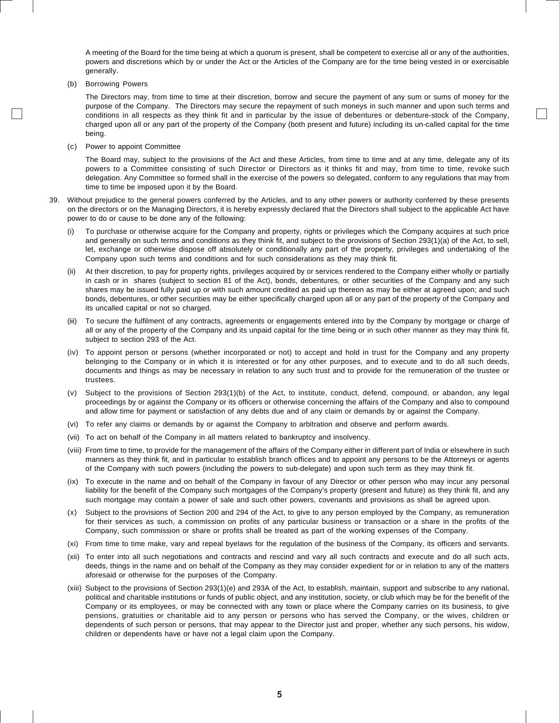A meeting of the Board for the time being at which a quorum is present, shall be competent to exercise all or any of the authorities, powers and discretions which by or under the Act or the Articles of the Company are for the time being vested in or exercisable generally.

(b) Borrowing Powers

The Directors may, from time to time at their discretion, borrow and secure the payment of any sum or sums of money for the purpose of the Company. The Directors may secure the repayment of such moneys in such manner and upon such terms and conditions in all respects as they think fit and in particular by the issue of debentures or debenture-stock of the Company, charged upon all or any part of the property of the Company (both present and future) including its un-called capital for the time being.

(c) Power to appoint Committee

The Board may, subject to the provisions of the Act and these Articles, from time to time and at any time, delegate any of its powers to a Committee consisting of such Director or Directors as it thinks fit and may, from time to time, revoke such delegation. Any Committee so formed shall in the exercise of the powers so delegated, conform to any regulations that may from time to time be imposed upon it by the Board.

- 39. Without prejudice to the general powers conferred by the Articles, and to any other powers or authority conferred by these presents on the directors or on the Managing Directors, it is hereby expressly declared that the Directors shall subject to the applicable Act have power to do or cause to be done any of the following:
	- (i) To purchase or otherwise acquire for the Company and property, rights or privileges which the Company acquires at such price and generally on such terms and conditions as they think fit, and subject to the provisions of Section 293(1)(a) of the Act, to sell, let, exchange or otherwise dispose off absolutely or conditionally any part of the property, privileges and undertaking of the Company upon such terms and conditions and for such considerations as they may think fit.
	- (ii) At their discretion, to pay for property rights, privileges acquired by or services rendered to the Company either wholly or partially in cash or in shares (subject to section 81 of the Act), bonds, debentures, or other securities of the Company and any such shares may be issued fully paid up or with such amount credited as paid up thereon as may be either at agreed upon; and such bonds, debentures, or other securities may be either specifically charged upon all or any part of the property of the Company and its uncalled capital or not so charged.
	- (iii) To secure the fulfilment of any contracts, agreements or engagements entered into by the Company by mortgage or charge of all or any of the property of the Company and its unpaid capital for the time being or in such other manner as they may think fit, subject to section 293 of the Act.
	- (iv) To appoint person or persons (whether incorporated or not) to accept and hold in trust for the Company and any property belonging to the Company or in which it is interested or for any other purposes, and to execute and to do all such deeds, documents and things as may be necessary in relation to any such trust and to provide for the remuneration of the trustee or trustees.
	- (v) Subject to the provisions of Section 293(1)(b) of the Act, to institute, conduct, defend, compound, or abandon, any legal proceedings by or against the Company or its officers or otherwise concerning the affairs of the Company and also to compound and allow time for payment or satisfaction of any debts due and of any claim or demands by or against the Company.
	- (vi) To refer any claims or demands by or against the Company to arbitration and observe and perform awards.
	- (vii) To act on behalf of the Company in all matters related to bankruptcy and insolvency.
	- (viii) From time to time, to provide for the management of the affairs of the Company either in different part of India or elsewhere in such manners as they think fit, and in particular to establish branch offices and to appoint any persons to be the Attorneys or agents of the Company with such powers (including the powers to sub-delegate) and upon such term as they may think fit.
	- (ix) To execute in the name and on behalf of the Company in favour of any Director or other person who may incur any personal liability for the benefit of the Company such mortgages of the Company's property (present and future) as they think fit, and any such mortgage may contain a power of sale and such other powers, covenants and provisions as shall be agreed upon.
	- (x) Subject to the provisions of Section 200 and 294 of the Act, to give to any person employed by the Company, as remuneration for their services as such, a commission on profits of any particular business or transaction or a share in the profits of the Company, such commission or share or profits shall be treated as part of the working expenses of the Company.
	- (xi) From time to time make, vary and repeal byelaws for the regulation of the business of the Company, its officers and servants.
	- (xii) To enter into all such negotiations and contracts and rescind and vary all such contracts and execute and do all such acts, deeds, things in the name and on behalf of the Company as they may consider expedient for or in relation to any of the matters aforesaid or otherwise for the purposes of the Company.
	- (xiii) Subject to the provisions of Section 293(1)(e) and 293A of the Act, to establish, maintain, support and subscribe to any national, political and charitable institutions or funds of public object, and any institution, society, or club which may be for the benefit of the Company or its employees, or may be connected with any town or place where the Company carries on its business, to give pensions, gratuities or charitable aid to any person or persons who has served the Company, or the wives, children or dependents of such person or persons, that may appear to the Director just and proper, whether any such persons, his widow, children or dependents have or have not a legal claim upon the Company.